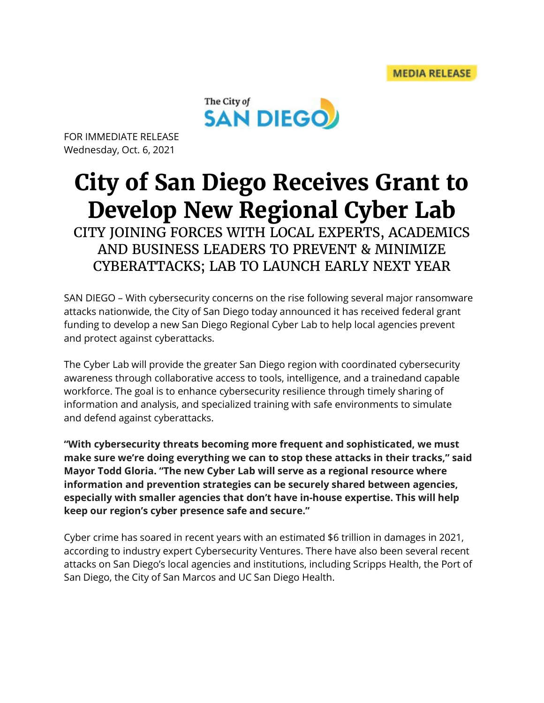

FOR IMMEDIATE RELEASE Wednesday, Oct. 6, 2021

## **City of San Diego Receives Grant to Develop New Regional Cyber Lab**

CITY JOINING FORCES WITH LOCAL EXPERTS, ACADEMICS AND BUSINESS LEADERS TO PREVENT & MINIMIZE CYBERATTACKS; LAB TO LAUNCH EARLY NEXT YEAR

SAN DIEGO – With cybersecurity concerns on the rise following several major ransomware attacks nationwide, the City of San Diego today announced it has received federal grant funding to develop a new San Diego Regional Cyber Lab to help local agencies prevent and protect against cyberattacks.

The Cyber Lab will provide the greater San Diego region with coordinated cybersecurity awareness through collaborative access to tools, intelligence, and a trainedand capable workforce. The goal is to enhance cybersecurity resilience through timely sharing of information and analysis, and specialized training with safe environments to simulate and defend against cyberattacks.

**"With cybersecurity threats becoming more frequent and sophisticated, we must make sure we're doing everything we can to stop these attacks in their tracks," said Mayor Todd Gloria. "The new Cyber Lab will serve as a regional resource where information and prevention strategies can be securely shared between agencies, especially with smaller agencies that don't have in-house expertise. This will help keep our region's cyber presence safe and secure."**

Cyber crime has soared in recent years with an estimated \$6 trillion in damages in 2021, according to industry expert Cybersecurity Ventures. There have also been several recent attacks on San Diego's local agencies and institutions, including Scripps Health, the Port of San Diego, the City of San Marcos and UC San Diego Health.